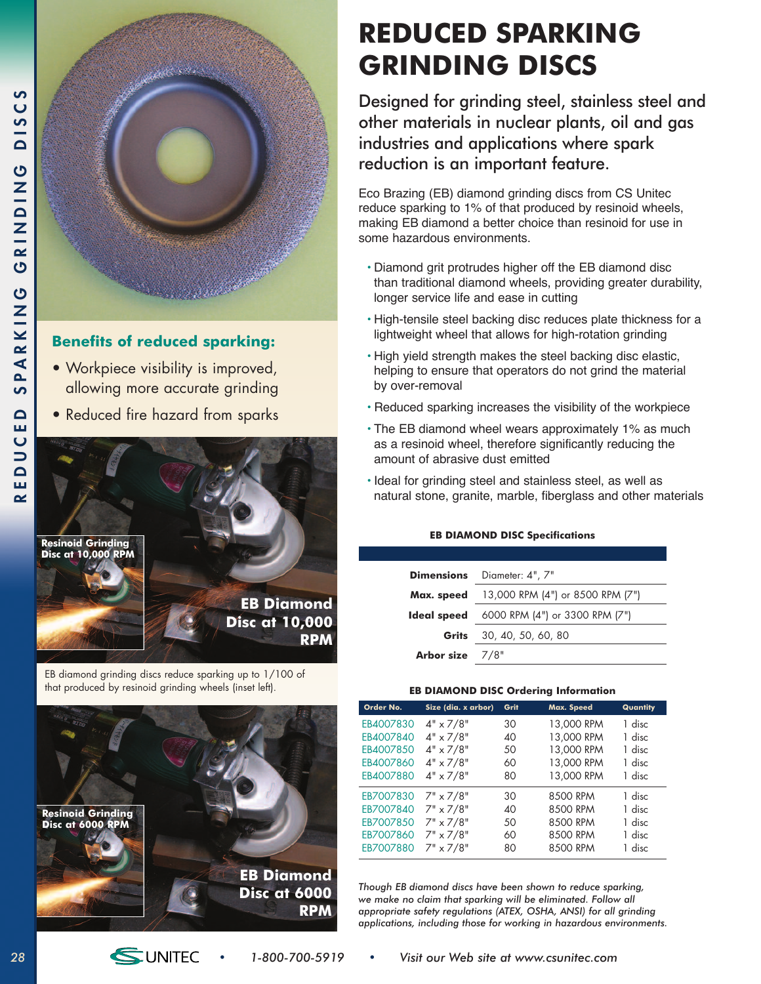

### **Benefits of reduced sparking:**

- Workpiece visibility is improved, allowing more accurate grinding
- Reduced fire hazard from sparks



EB diamond grinding discs reduce sparking up to 1/100 of that produced by resinoid grinding wheels (inset left).



# **REDUCED SPARKING GRINDING DISCS**

Designed for grinding steel, stainless steel and other materials in nuclear plants, oil and gas industries and applications where spark reduction is an important feature.

Eco Brazing (EB) diamond grinding discs from CS Unitec reduce sparking to 1% of that produced by resinoid wheels, making EB diamond a better choice than resinoid for use in some hazardous environments.

- Diamond grit protrudes higher off the EB diamond disc than traditional diamond wheels, providing greater durability, longer service life and ease in cutting
- High-tensile steel backing disc reduces plate thickness for a lightweight wheel that allows for high-rotation grinding
- High yield strength makes the steel backing disc elastic, helping to ensure that operators do not grind the material by over-removal
- Reduced sparking increases the visibility of the workpiece
- The EB diamond wheel wears approximately 1% as much as a resinoid wheel, therefore significantly reducing the amount of abrasive dust emitted
- Ideal for grinding steel and stainless steel, as well as natural stone, granite, marble, fiberglass and other materials

| <b>EB DIAMOND DISC Specifications</b> |  |  |
|---------------------------------------|--|--|
|---------------------------------------|--|--|

| Dimensions      | Diameter: 4", 7"                 |
|-----------------|----------------------------------|
| Max. speed      | 13,000 RPM (4") or 8500 RPM (7") |
| Ideal speed     | 6000 RPM (4") or 3300 RPM (7")   |
| Grits           | 30, 40, 50, 60, 80               |
| Arbor size 7/8" |                                  |

#### **EB DIAMOND DISC Ordering Information**

| Order No. | Size (dia. x arbor) | Grit | Max. Speed | Quantity |
|-----------|---------------------|------|------------|----------|
| EB4007830 | $4" \times 7/8"$    | 30   | 13,000 RPM | 1 disc   |
| EB4007840 | $4" \times 7/8"$    | 40   | 13,000 RPM | 1 disc   |
| EB4007850 | $4" \times 7/8"$    | 50   | 13,000 RPM | 1 disc   |
| EB4007860 | $4" \times 7/8"$    | 60   | 13,000 RPM | 1 disc   |
| EB4007880 | $4" \times 7/8"$    | 80   | 13,000 RPM | 1 disc   |
| EB7007830 | $7" \times 7/8"$    | 30   | 8500 RPM   | 1 disc   |
| EB7007840 | $7" \times 7/8"$    | 40   | 8500 RPM   | 1 disc   |
| EB7007850 | $7" \times 7/8"$    | 50   | 8500 RPM   | 1 disc   |
| EB7007860 | $7" \times 7/8"$    | 60   | 8500 RPM   | 1 disc   |
| EB7007880 | $7" \times 7/8"$    | 80   | 8500 RPM   | 1 disc   |

*Though EB diamond discs have been shown to reduce sparking, we make no claim that sparking will be eliminated. Follow all appropriate safety regulations (ATEX, OSHA, ANSI) for all grinding applications, including those for working in hazardous environments.*